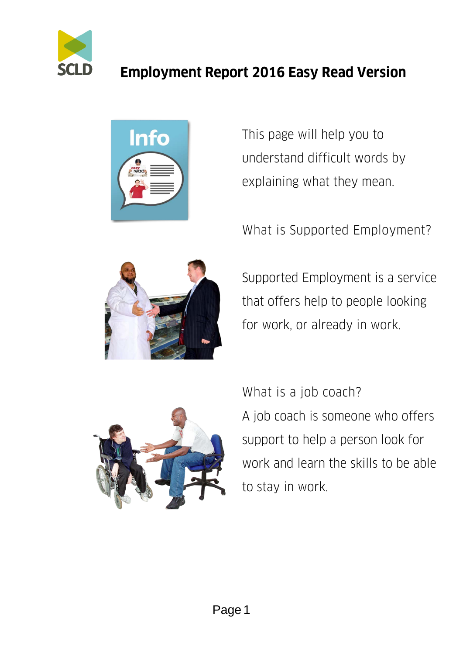



This page will help you to understand difficult words by explaining what they mean.

What is Supported Employment?



Supported Employment is a service that offers help to people looking for work, or already in work.



What is a job coach? A job coach is someone who offers support to help a person look for work and learn the skills to be able to stay in work.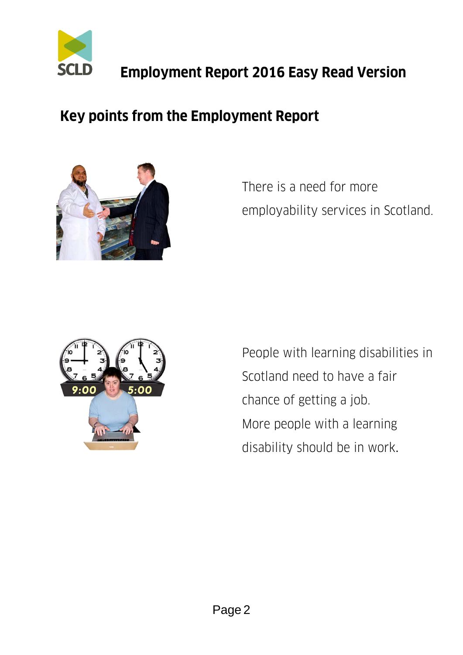

#### **Key points from the Employment Report**



There is a need for more employability services in Scotland.



People with learning disabilities in Scotland need to have a fair chance of getting a job. More people with a learning disability should be in work.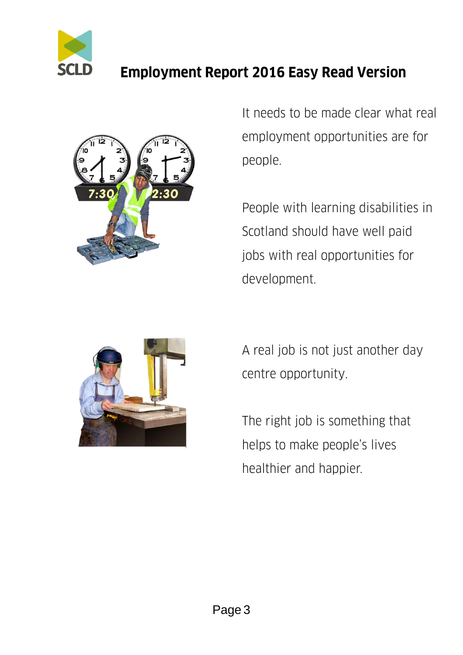



It needs to be made clear what real employment opportunities are for people.

People with learning disabilities in Scotland should have well paid jobs with real opportunities for development.



A real job is not just another day centre opportunity.

The right job is something that helps to make people's lives healthier and happier.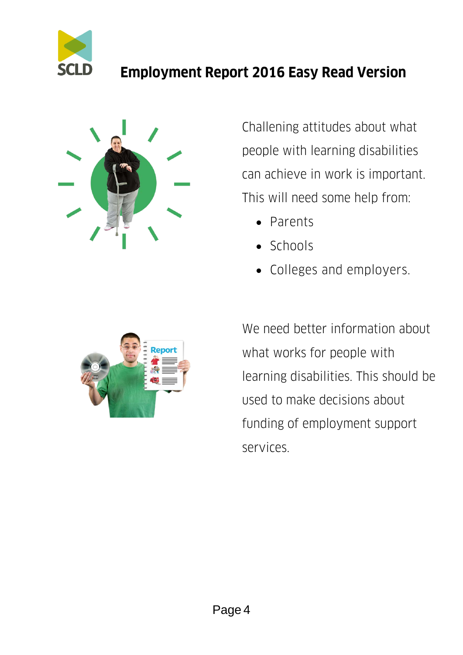



Challening attitudes about what people with learning disabilities can achieve in work is important. This will need some help from:

- Parents
- Schools
- Colleges and employers.



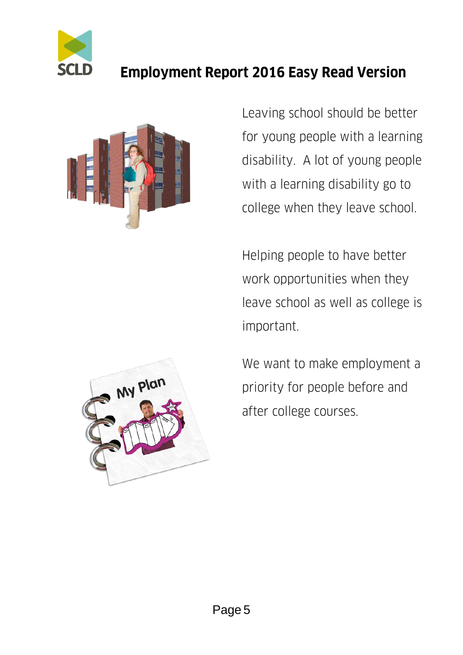



Leaving school should be better for young people with a learning disability. A lot of young people with a learning disability go to college when they leave school.

Helping people to have better work opportunities when they leave school as well as college is important.



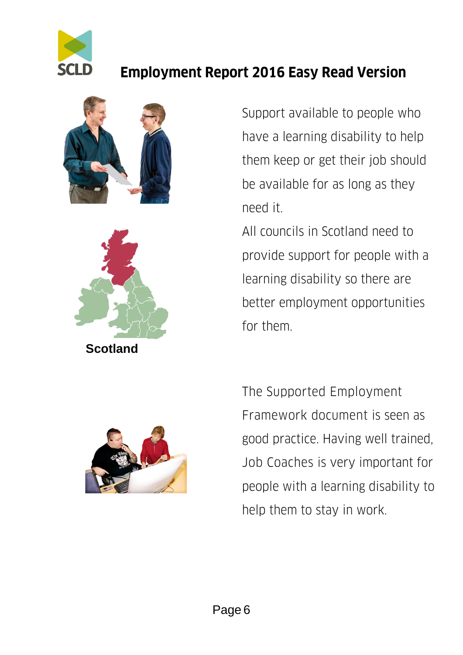





Support available to people who have a learning disability to help them keep or get their job should be available for as long as they need it.

All councils in Scotland need to provide support for people with a learning disability so there are better employment opportunities for them.



The Supported Employment Framework document is seen as good practice. Having well trained, Job Coaches is very important for people with a learning disability to help them to stay in work.